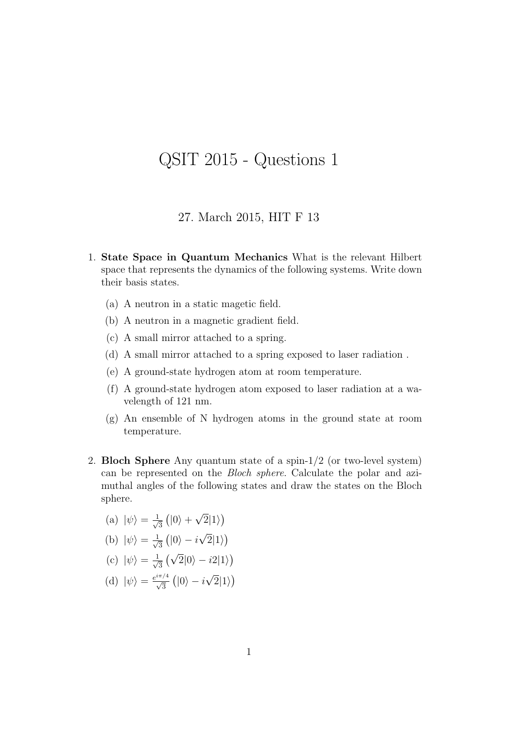## QSIT 2015 - Questions 1

## 27. March 2015, HIT F 13

- 1. State Space in Quantum Mechanics What is the relevant Hilbert space that represents the dynamics of the following systems. Write down their basis states.
	- (a) A neutron in a static magetic field.
	- (b) A neutron in a magnetic gradient field.
	- (c) A small mirror attached to a spring.
	- (d) A small mirror attached to a spring exposed to laser radiation .
	- (e) A ground-state hydrogen atom at room temperature.
	- (f) A ground-state hydrogen atom exposed to laser radiation at a wavelength of 121 nm.
	- (g) An ensemble of N hydrogen atoms in the ground state at room temperature.
- 2. Bloch Sphere Any quantum state of a spin-1/2 (or two-level system) can be represented on the Bloch sphere. Calculate the polar and azimuthal angles of the following states and draw the states on the Bloch sphere.
	- (a)  $|\psi\rangle = \frac{1}{\sqrt{2}}$  $\frac{1}{3}$  (|0) + √  $\overline{2}|1\rangle)$
	- (b)  $|\psi\rangle = \frac{1}{\sqrt{2}}$  $\frac{1}{3}$  (|0\ine - i √  $\overline{2}|1\rangle)$
	- (c)  $|\psi\rangle = \frac{1}{\sqrt{2}}$  $\frac{1}{3}(\sqrt{2}|0\rangle - i2|1\rangle)$
	- (d)  $|\psi\rangle = \frac{e^{i\pi/4}}{\sqrt{3}} (|0\rangle i$ √  $\overline{2}|1\rangle$